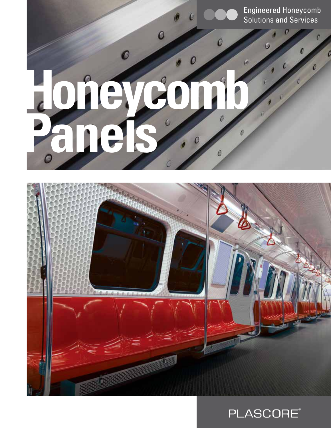Engineered Honeycomb Solutions and Services

c

0

 $\overline{0}$ 

 $\mathcal{C}$ 

 $\mathcal{C}$ 

 $\boldsymbol{c}$ 

 $\ddot{\circ}$ 

# **Honeycomb Panels** $\epsilon$  $\mathcal{C}$

 $\boldsymbol{o}$ 

0

 $\mathcal{O}$ 

 $\overline{O}$ 



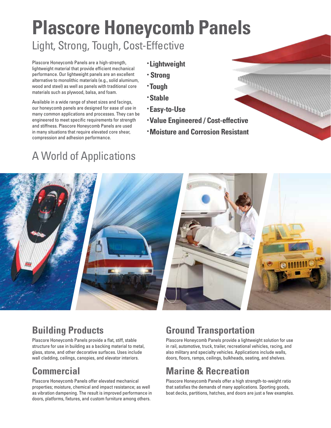# **Plascore Honeycomb Panels**  Light, Strong, Tough, Cost-Effective

Plascore Honeycomb Panels are a high-strength, lightweight material that provide efficient mechanical performance. Our lightweight panels are an excellent alternative to monolithic materials (e.g., solid aluminum, wood and steel) as well as panels with traditional core materials such as plywood, balsa, and foam.

Available in a wide range of sheet sizes and facings, our honeycomb panels are designed for ease of use in many common applications and processes. They can be engineered to meet specific requirements for strength and stiffness. Plascore Honeycomb Panels are used in many situations that require elevated core shear, compression and adhesion performance.

- **Lightweight**
- **Strong**
- **Tough**
- **Stable**
- **Easy-to-Use**
- Strong<br>• Tough<br>• Easy-to-Use<br>• Value Engineered / Cost-effective
- **Moisture and Corrosion Resistant**

# A World of Applications



## **Building Products**

Plascore Honeycomb Panels provide a flat, stiff, stable structure for use in building as a backing material to metal, glass, stone, and other decorative surfaces. Uses include wall cladding, ceilings, canopies, and elevator interiors.

### **Commercial**

Plascore Honeycomb Panels offer elevated mechanical properties; moisture, chemical and impact resistance; as well as vibration dampening. The result is improved performance in doors, platforms, fixtures, and custom furniture among others.

### **Ground Transportation**

Plascore Honeycomb Panels provide a lightweight solution for use in rail, automotive, truck, trailer, recreational vehicles, racing, and also military and specialty vehicles. Applications include walls, doors, floors, ramps, ceilings, bulkheads, seating, and shelves.

### **Marine & Recreation**

Plascore Honeycomb Panels offer a high strength-to-weight ratio that satisfies the demands of many applications. Sporting goods, boat decks, partitions, hatches, and doors are just a few examples.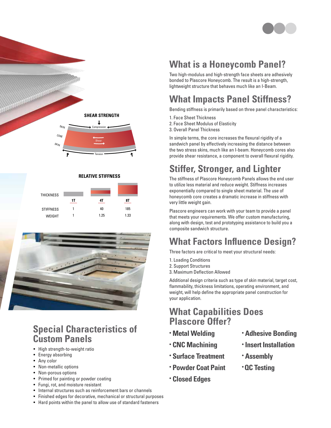



#### **RELATIVE STIFFNESS**

| <b>THICKNESS</b> |    |      |      |
|------------------|----|------|------|
|                  | 1T | 41   | 8Τ   |
| <b>STIFFNESS</b> |    | 40   | 185  |
| WEIGHT           |    | 1.25 | 1.33 |



#### THICKNESS **1The Suite of Panels Special Characteristics of**

- High strength-to-weight ratio
- $\bullet$  Energy absorbing
- Any color
- Non-metallic options
- Non-porous options
- Primed for painting or powder coating
- Fungi, rot, and moisture resistant
- Internal structures such as reinforcement bars or channels
- Finished edges for decorative, mechanical or structural purposes
- Hard points within the panel to allow use of standard fasteners

## **What is a Honeycomb Panel?**

Two high-modulus and high-strength face sheets are adhesively bonded to Plascore Honeycomb. The result is a high-strength, lightweight structure that behaves much like an I-Beam.

# **What Impacts Panel Stiffness?**

Bending stiffness is primarily based on three panel characteristics:

- 1. Face Sheet Thickness
- 2. Face Sheet Modulus of Elasticity
- 3. Overall Panel Thickness

In simple terms, the core increases the flexural rigidity of a sandwich panel by effectively increasing the distance between the two stress skins, much like an I-beam. Honeycomb cores also provide shear resistance, a component to overall flexural rigidity.

# **Stiffer, Stronger, and Lighter**

The stiffness of Plascore Honeycomb Panels allows the end user to utilize less material and reduce weight. Stiffness increases exponentially compared to single sheet material. The use of honeycomb core creates a dramatic increase in stiffness with very little weight gain.

Plascore engineers can work with your team to provide a panel that meets your requirements. We offer custom manufacturing, along with design, test and prototyping assistance to build you a composite sandwich structure.

## **What Factors Influence Design?**

Three factors are critical to meet your structural needs:

- 1. Loading Conditions
- 2. Support Structures
- 3. Maximum Deflection Allowed

Additional design criteria such as type of skin material, target cost, flammability, thickness limitations, operating environment, and weight, will help define the appropriate panel construction for your application.

#### **What Capabilities Does Plascore Offer?**

- **• Metal Welding**
- **• CNC Machining**
- **• Surface Treatment**
- **• Powder Coat Paint**
- **• Closed Edges**
- **• Adhesive Bonding**
- **• Insert Installation**
- **• Assembly**
- **QC Testing**
- 
- 
- 
- 
-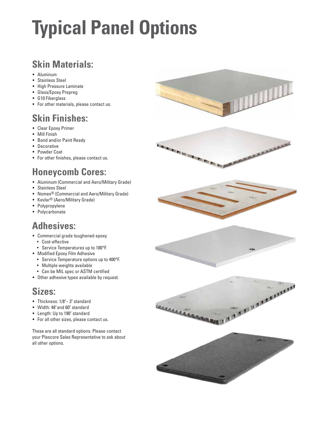# **Typical Panel Options**

## **Skin Materials:**

- Aluminum
- Stainless Steel
- High Pressure Laminate
- Glass/Epoxy Prepreg
- G10 Fiberglass
- For other materials, please contact us.

#### **Skin Finishes:**

- Clear Epoxy Primer
- Mill Finish
- Bond and/or Paint Ready
- Decorative
- Powder Coat
- For other finishes, please contact us.

#### **Honeycomb Cores:**

- Aluminum (Commercial and Aero/Military Grade)
- Stainless Steel
- Nomex® (Commercial and Aero/Military Grade)
- Kevlar® (Aero/Military Grade)
- Polypropylene
- Polycarbonate

#### **Adhesives:**

- Commercial grade toughened epoxy
	- Cost-effective
- Service Temperatures up to 180°F.
- Modified Epoxy Film Adhesive
	- Service Temperature options up to 400°F.
	- Multiple weights available
	- Can be MIL spec or ASTM certified
- Other adhesive types available by request.

#### **Sizes:**

- Thickness: 1/8"– 3" standard
- Width: 48" and 60" standard
- Length: Up to 190" standard
- For all other sizes, please contact us.

These are all standard options. Please contact your Plascore Sales Representative to ask about all other options.

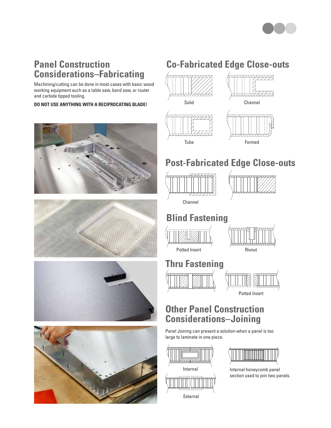

#### **Panel Construction Considerations–Fabricating**

Machining/cutting can be done in most cases with basic wood working equipment such as a table saw, band saw, or router and carbide tipped tooling.

**DO NOT USE ANYTHING WITH A RECIPROCATING BLADE!** Solid









# **Co-Fabricated Edge Close-outs**





 $\rightarrow$   $\rightarrow$   $\rightarrow$ 

Formed

#### **Post-Fabricated Edge Close-outs**





Channel

#### **Blind Fastening**





Potted Insert

Rivnut

# **Thru Fastening**



#### **Other Panel Construction Considerations–Joining**

Panel Joining can present a solution when a panel is too large to laminate in one piece.



<u> Timbridge Starting (1989)</u>

Internal honeycomb panel section used to join two panels.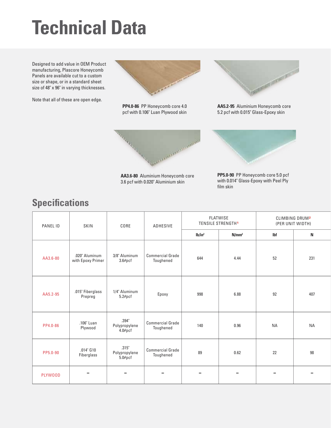# **Technical Data**

Designed to add value in OEM Product manufacturing, Plascore Honeycomb Panels are available cut to a custom size or shape, or in a standard sheet size of 48" x 96" in varying thicknesses.

Note that all of these are open edge.



**PP4.0-86** PP Honeycomb core 4.0 pcf with 0.106" Luan Plywood skin



**AA3.6-80** Aluminium Honeycomb core 3.6 pcf with 0.020" Aluminium skin



**AA5.2-95** Aluminium Honeycomb core 5.2 pcf with 0.015" Glass-Epoxy skin



**PP5.0-90** PP Honeycomb core 5.0 pcf with 0.014" Glass-Epoxy with Peel Ply film skin

### **Specifications**

| PANEL ID       | SKIN                                | CORE                              | <b>ADHESIVE</b>                      |                    | <b>FLATWISE</b><br><b>TENSILE STRENGTH1</b> |            | <b>CLIMBING DRUM2</b><br>(PER UNIT WIDTH) |  |
|----------------|-------------------------------------|-----------------------------------|--------------------------------------|--------------------|---------------------------------------------|------------|-------------------------------------------|--|
|                |                                     |                                   |                                      | Ib/in <sup>2</sup> | N/mm <sup>2</sup>                           | <b>Ibf</b> | N                                         |  |
| AA3.6-80       | .020" Aluminum<br>with Epoxy Primer | 3/8" Aluminum<br>3.6#pcf          | <b>Commercial Grade</b><br>Toughened | 644                | 4.44                                        | 52         | 231                                       |  |
| AA5.2-95       | .015" Fiberglass<br>Prepreg         | 1/4" Aluminum<br>$5.2$ #pcf       | Epoxy                                | 998                | 6.88                                        | 92         | 407                                       |  |
| PP4.0-86       | .106" Luan<br>Plywood               | .394"<br>Polypropylene<br>4.0#ptf | <b>Commercial Grade</b><br>Toughened | 140                | 0.96                                        | <b>NA</b>  | <b>NA</b>                                 |  |
| PP5.0-90       | $.014$ " $G10$<br>Fiberglass        | .315"<br>Polypropylene<br>5.0#pcf | <b>Commercial Grade</b><br>Toughened | 89                 | 0.62                                        | 22         | 98                                        |  |
| <b>PLYWOOD</b> |                                     |                                   |                                      |                    |                                             |            |                                           |  |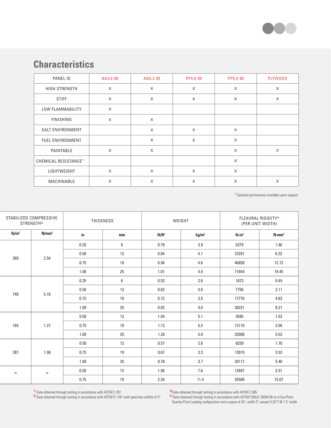

#### **Characteristics**

| PANEL ID                | AA3.6-80 | AA5.2-95 | PP4.0-86 | PP5.0-90 | PLYW00D  |
|-------------------------|----------|----------|----------|----------|----------|
| HIGH STRENGTH           | X        | X        | X        | X        | X        |
| <b>STIFF</b>            | $\times$ | $\times$ | X        | X        | X        |
| LOW FLAMMABILITY        | X        |          |          |          |          |
| <b>FINISHING</b>        | $\times$ | $\times$ |          |          |          |
| <b>SALT ENVIRONMENT</b> |          | $\times$ | $\times$ | $\times$ |          |
| <b>FUEL ENVIRONMENT</b> |          | X        | X        | X        |          |
| PAINTABLE               | $\times$ | $\times$ |          | $\times$ | $\times$ |
| CHEMICAL RESISTANCE*    |          |          |          | X        |          |
| LIGHTWEIGHT             | $\times$ | $\times$ | $\times$ | $\times$ |          |
| MACHINABLE              | X        | X        | X        | X        | X        |

\* Detailed performance available upon request.

| STABILIZED COMPRESSIVE<br>STRENGTH <sup>3</sup> |                   | THICKNESS |      | WEIGHT             |                   | FLEXURAL RIGIDITY <sup>4</sup><br>(PER UNIT WIDTH) |                   |
|-------------------------------------------------|-------------------|-----------|------|--------------------|-------------------|----------------------------------------------------|-------------------|
| Ib/in <sup>2</sup>                              | N/mm <sup>2</sup> | in.       | mm   | Ib/ft <sup>2</sup> | kg/m <sup>2</sup> | $Ib\cdot in^2$                                     | N·mm <sup>2</sup> |
| 369<br>2.54                                     |                   | 0.25      | 6    | 0.79               | 3.9               | 5375                                               | 1.46              |
|                                                 |                   | 0.50      | 13   | 0.84               | 4.1               | 23291                                              | 6.32              |
|                                                 |                   | 0.75      | 19   | 0.94               | 4.6               | 46858                                              | 12.72             |
|                                                 |                   | 1.00      | 25   | 1.01               | 4.9               | 71654                                              | 19.45             |
| 749<br>5.16                                     | 0.25              | 6         | 0.53 | 2.6                | 1673              | 0.45                                               |                   |
|                                                 |                   | 0.50      | 13   | 0.62               | 3.0               | 7756                                               | 2.11              |
|                                                 |                   | 0.75      | 19   | 0.72               | 3.5               | 17776                                              | 4.83              |
|                                                 |                   | 1.00      | 25   | 0.82               | 4.0               | 30231                                              | 8.21              |
| 184<br>1.27                                     |                   | 0.50      | 13   | 1.04               | 5.1               | 5585                                               | 1.52              |
|                                                 |                   | 0.75      | 19   | 1.12               | $5.5\,$           | 13110                                              | 3.56              |
|                                                 |                   | 1.00      | 25   | 1.20               | 5.9               | 20388                                              | 5.53              |
| 287<br>1.98                                     |                   | 0.50      | 13   | 0.57               | 2.8               | 6259                                               | 1.70              |
|                                                 |                   | 0.75      | 19   | 0.67               | 3.3               | 13015                                              | 3.53              |
|                                                 |                   | 1.00      | 25   | 0.76               | 3.7               | 20117                                              | 5.46              |
| $\qquad \qquad \blacksquare$<br>-               |                   | 0.50      | 13   | 1.56               | 7.6               | 12947                                              | 3.51              |
|                                                 |                   | 0.75      | 19   | 2.34               | 11.4              | 55506                                              | 15.07             |

1 Data obtained through testing in accordance with ASTM C 297

Ļ

<sup>2</sup> Data obtained through testing in accordance with ASTM D 1781 with specimen widths of 3"

<sup>3</sup> Data obtained through testing in accordance with ASTM C 365

4 Data obtained through testing in accordance with ASTM C393/C 393M-06 at a Four-Point, Quarter-Point Loading configuration and a space of 20", width 3", except 0.25"T @ 1.5" width